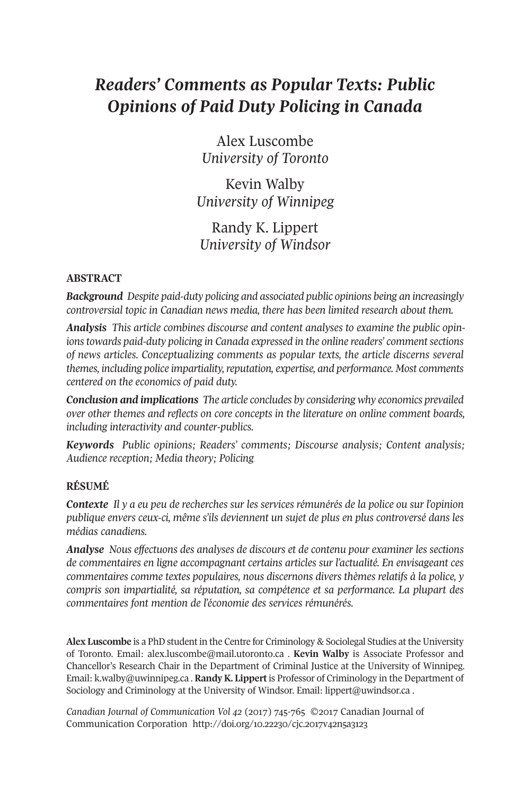# *Readers' Comments as Popular Texts: Public Opinions of Paid Duty Policing in Canada*

Alex Luscombe *University of Toronto*

Kevin Walby *University of Winnipeg*

Randy K. Lippert *University of Windsor*

## **ABSTRACT**

*Background Despite paid-duty policing and associated public opinions being an increasingly controversial topic in Canadian news media, there has been limited research about them.*

*Analysis This article combines discourse and content analyses to examine the public opinionstowards paid-duty policing in Canada expressed in the online readers' commentsections of news articles. Conceptualizing comments as popular texts, the article discerns several themes, including police impartiality,reputation, expertise, and performance. Most comments centered on the economics of paid duty.*

*Conclusion and implications The article concludes by considering why economics prevailed over other themes and reflects on core concepts in the literature on online comment boards, including interactivity and counter-publics.*

*Keywords Public opinions; Readers' comments; Discourse analysis; Content analysis; Audience reception; Media theory; Policing*

## **RÉSUMÉ**

*Contexte Il y a eu peu de recherches sur les services rémunérés de la police ou sur l'opinion publique envers ceux-ci, même s'ils deviennent un sujet de plus en plus controversé dans les médias canadiens.*

*Analyse Nous effectuons des analyses de discours et de contenu pour examiner les sections de commentaires en ligne accompagnant certains articles sur l'actualité. En envisageant ces commentaires comme textes populaires, nous discernons divers thèmes relatifs à la police, y compris son impartialité, sa réputation, sa compétence et sa performance. La plupart des commentaires font mention de l'économie des services rémunérés.*

**Alex Luscombe** is a PhD student in the Centre for Criminology & Sociolegal Studies at the University of Toronto. Email: [alex.luscombe@mail.utoronto.ca](mailto:alex.luscombe@mail.utoronto.ca) . **Kevin Walby** is Associate Professor and Chancellor's Research Chair in the Department of Criminal Justice at the University of Winnipeg. Email: [k.walby@uwinnipeg.ca](mailto:k.walby@uwinnipeg.ca) . **Randy K. Lippert** is Professor of Criminology in the Department of Sociology and Criminology at the University of Windsor. Email: [lippert@uwindsor.ca](mailto:lippert@uwindsor.ca).

*Canadian Journal of [Communication](http://www.cjc-online.ca) Vol 42* (2017) 745-765 ©2017 Canadian Journal of Communication Corporation <http://doi.org/10.22230/cjc.2017v42n5a3123>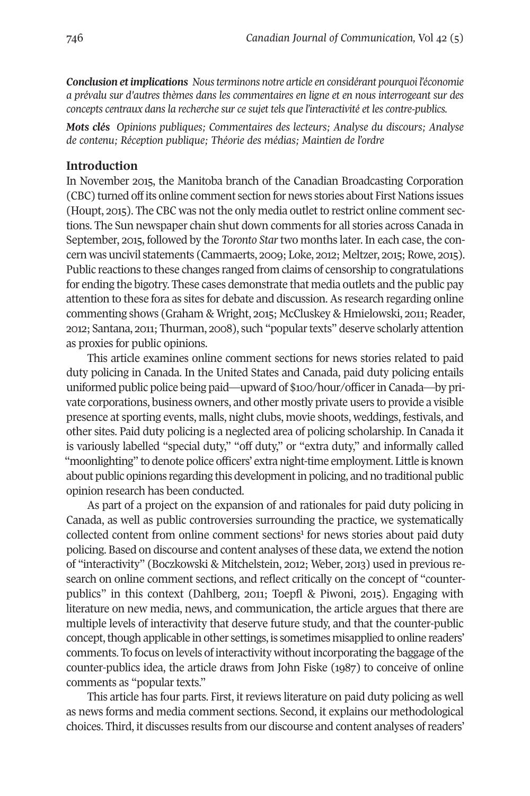*Conclusion etimplications Nousterminons notre article en considérant pourquoi l'économie a prévalu sur d'autres thèmes dans les commentaires en ligne et en nous interrogeant sur des concepts centraux dans la recherche sur ce sujet tels que l'interactivité et les contre-publics.*

*Mots clés Opinions publiques; Commentaires des lecteurs; Analyse du discours; Analyse de contenu; Réception publique; Théorie des médias; Maintien de l'ordre*

#### **Introduction**

In November 2015, the Manitoba branch of the Canadian Broadcasting Corporation (CBC) turned off its online comment section for news stories about First Nations issues (Houpt, 2015). The CBC was not the only media outlet to restrict online comment sections. The Sun newspaper chain shut down comments for all stories across Canada in September, 2015, followed by the *Toronto Star*two months later. In each case, the concern was uncivil statements (Cammaerts, 2009; Loke, 2012; Meltzer, 2015; Rowe, 2015). Public reactions to these changes ranged from claims of censorship to congratulations for ending the bigotry. These cases demonstrate that media outlets and the public pay attention to these fora as sites for debate and discussion. As research regarding online commenting shows (Graham & Wright, 2015; McCluskey & Hmielowski, 2011; Reader, 2012; Santana, 2011; Thurman, 2008), such "populartexts" deserve scholarly attention as proxies for public opinions.

This article examines online comment sections for news stories related to paid duty policing in Canada. In the United States and Canada, paid duty policing entails uniformed public police being paid—upward of \$100/hour/officerin Canada—by private corporations, business owners, and other mostly private users to provide a visible presence at sporting events, malls, night clubs, movie shoots, weddings, festivals, and other sites. Paid duty policing is a neglected area of policing scholarship. In Canada it is variously labelled "special duty," "off duty," or "extra duty," and informally called "moonlighting" to denote police officers' extra night-time employment. Little is known about public opinions regarding this developmentin policing, and no traditional public opinion research has been conducted.

As part of a project on the expansion of and rationales for paid duty policing in Canada, as well as public controversies surroun[din](#page-17-0)g the practice, we systematically collected content from online comment sections<sup>1</sup> for news stories about paid duty policing. Based on discourse and content analyses ofthese data, we extend the notion of "interactivity" (Boczkowski & Mitchelstein, 2012; Weber, 2013) used in previous research on online comment sections, and reflect critically on the concept of "counterpublics" in this context (Dahlberg, 2011; Toepfl & Piwoni, 2015). Engaging with literature on new media, news, and communication, the article argues that there are multiple levels of interactivity that deserve future study, and that the counter-public concept, though applicable in other settings, is sometimes misapplied to online readers' comments. To focus on levels of interactivity without incorporating the baggage of the counter-publics idea, the article draws from John Fiske (1987) to conceive of online comments as "popular texts."

This article has four parts. First, it reviews literature on paid duty policing as well as news forms and media comment sections. Second, it explains our methodological choices. Third, it discusses results from our discourse and content analyses ofreaders'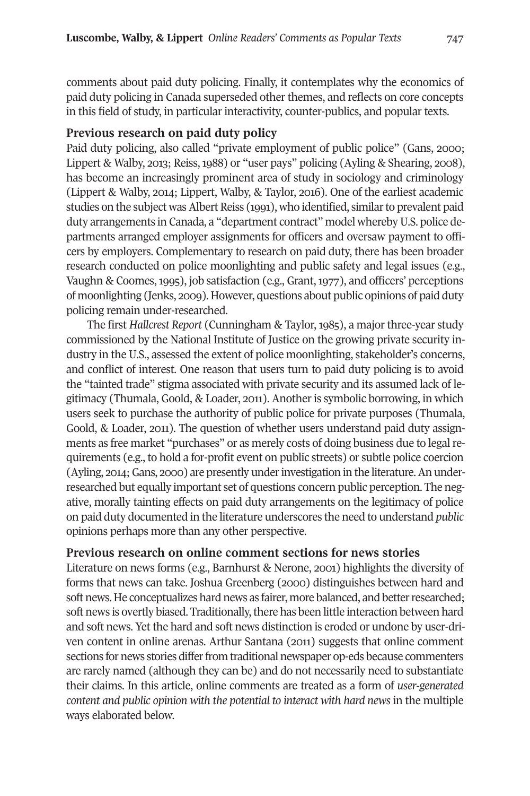comments about paid duty policing. Finally, it contemplates why the economics of paid duty policing in Canada superseded other themes, and reflects on core concepts in this field of study, in particular interactivity, counter-publics, and popular texts.

#### **Previous research on paid duty policy**

Paid duty policing, also called "private employment of public police" (Gans, 2000; Lippert & Walby, 2013; Reiss,1988) or "user pays" policing (Ayling & Shearing, 2008), has become an increasingly prominent area of study in sociology and criminology (Lippert & Walby, 2014; Lippert, Walby, & Taylor, 2016). One of the earliest academic studies on the subject was Albert Reiss (1991), who identified, similar to prevalent paid duty arrangements in Canada, a "department contract" model whereby U.S. police departments arranged employer assignments for officers and oversaw payment to officers by employers. Complementary to research on paid duty, there has been broader research conducted on police moonlighting and public safety and legal issues (e.g., Vaughn & Coomes, 1995), job satisfaction (e.g., Grant, 1977), and officers' perceptions of moonlighting (Jenks, 2009). However, questions about public opinions of paid duty policing remain under-researched.

The first *Hallcrest Report* (Cunningham & Taylor, 1985), a major three-year study commissioned by the National Institute of Justice on the growing private security industry in the U.S., assessed the extent of police moonlighting, stakeholder's concerns, and conflict of interest. One reason that users turn to paid duty policing is to avoid the "tainted trade" stigma associated with private security and its assumed lack of legitimacy (Thumala, Goold, & Loader, 2011). Another is symbolic borrowing, in which users seek to purchase the authority of public police for private purposes (Thumala, Goold, & Loader, 2011). The question of whether users understand paid duty assignments as free market "purchases" or as merely costs of doing business due to legalrequirements (e.g., to hold a for-profit event on public streets) or subtle police coercion (Ayling, 2014; Gans, 2000) are presently under investigation in the literature. An underresearched but equally important set of questions concern public perception. The negative, morally tainting effects on paid duty arrangements on the legitimacy of police on paid duty documented in the literature underscores the need to understand *public* opinions perhaps more than any other perspective.

## **Previous research on online comment sections for news stories**

Literature on news forms (e.g., Barnhurst & Nerone, 2001) highlights the diversity of forms that news can take. Joshua Greenberg (2000) distinguishes between hard and soft news. He conceptualizes hard news as fairer, more balanced, and better researched; soft news is overtly biased. Traditionally, there has been little interaction between hard and soft news. Yet the hard and soft news distinction is eroded or undone by user-driven content in online arenas. Arthur Santana (2011) suggests that online comment sections for news stories differ from traditional newspaper op-eds because commenters are rarely named (although they can be) and do not necessarily need to substantiate their claims. In this article, online comments are treated as a form of *user-generated content and public opinion with the potential to interact with hard news* in the multiple ways elaborated below.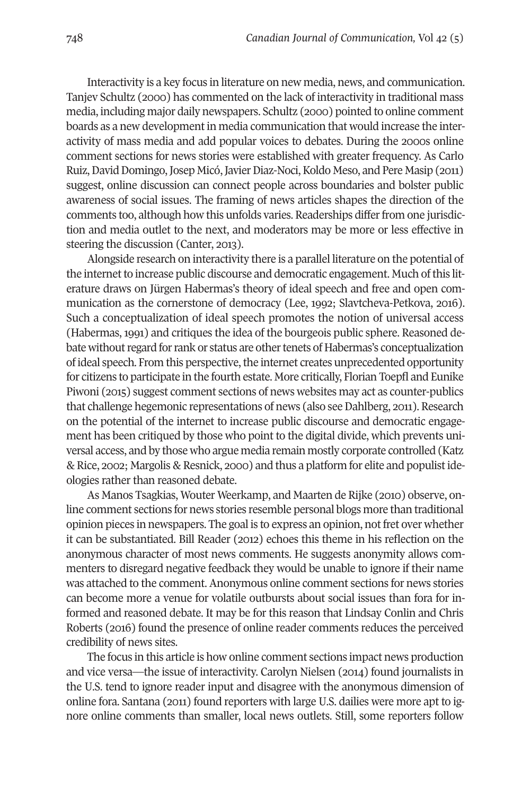Interactivity is a key focus in literature on new media, news, and communication. Tanjev Schultz (2000) has commented on the lack of interactivity in traditional mass media, including major daily newspapers. Schultz (2000) pointed to online comment boards as a new developmentin media communication that would increase the interactivity of mass media and add popular voices to debates. During the 2000s online comment sections for news stories were established with greater frequency. As Carlo Ruiz,DavidDomingo,Josep Micó,JavierDiaz-Noci,Koldo Meso, and Pere Masip (2011) suggest, online discussion can connect people across boundaries and bolster public awareness of social issues. The framing of news articles shapes the direction of the comments too, although how this unfolds varies. Readerships differ from one jurisdiction and media outlet to the next, and moderators may be more or less effective in steering the discussion (Canter, 2013).

Alongside research on interactivity there is a parallel literature on the potential of the internet to increase public discourse and democratic engagement. Much of this literature draws on Jürgen Habermas's theory of ideal speech and free and open communication as the cornerstone of democracy (Lee, 1992; Slavtcheva-Petkova, 2016). Such a conceptualization of ideal speech promotes the notion of universal access (Habermas, 1991) and critiques the idea of the bourgeois public sphere. Reasoned debate without regard for rank or status are other tenets of Habermas's conceptualization of ideal speech. From this perspective, the internet creates unprecedented opportunity for citizens to participate in the fourth estate. More critically, Florian Toepfl and Eunike Piwoni (2015) suggest comment sections of news websites may act as counter-publics that challenge hegemonic representations of news (also seeDahlberg, 2011). Research on the potential of the internet to increase public discourse and democratic engagement has been critiqued by those who point to the digital divide, which prevents universal access, and by those who argue media remain mostly corporate controlled (Katz & Rice, 2002; Margolis & Resnick, 2000) and thus a platform for elite and populistideologies rather than reasoned debate.

As Manos Tsagkias, Wouter Weerkamp, and Maarten de Rijke (2010) observe, online comment sections for news stories resemble personal blogs more than traditional opinion pieces in newspapers. The goal is to express an opinion, not fret over whether it can be substantiated. Bill Reader (2012) echoes this theme in his reflection on the anonymous character of most news comments. He suggests anonymity allows commenters to disregard negative feedback they would be unable to ignore if their name was attached to the comment. Anonymous online comment sections for news stories can become more a venue for volatile outbursts about social issues than fora for informed and reasoned debate. It may be for this reason that Lindsay Conlin and Chris Roberts (2016) found the presence of online reader comments reduces the perceived credibility of news sites.

The focus in this article is how online comment sections impact news production and vice versa—the issue of interactivity. Carolyn Nielsen (2014) found journalists in the U.S. tend to ignore reader input and disagree with the anonymous dimension of online fora. Santana (2011) found reporters with large U.S. dailies were more apt to ignore online comments than smaller, local news outlets. Still, some reporters follow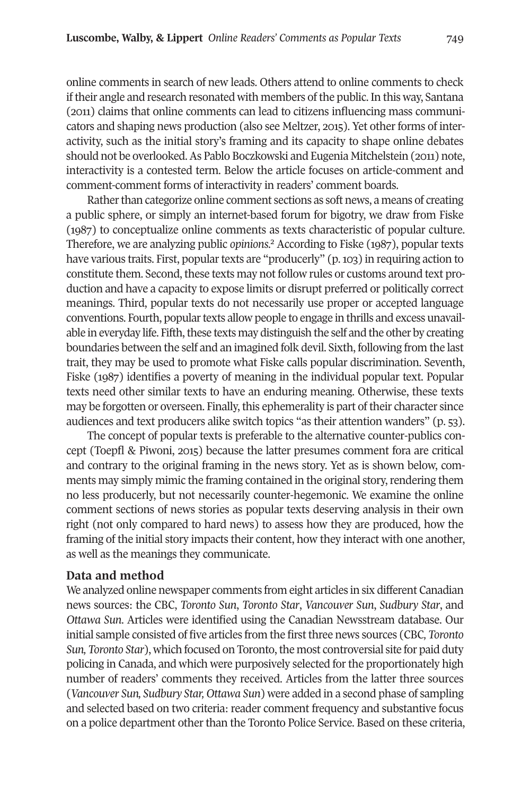online comments in search of new leads. Others attend to online comments to check iftheir angle and research resonated with members ofthe public. In this way, Santana (2011) claims that online comments can lead to citizens influencing mass communicators and shaping news production (also see Meltzer, 2015). Yet other forms of interactivity, such as the initial story's framing and its capacity to shape online debates should not be overlooked.As Pablo Boczkowski and Eugenia Mitchelstein (2011) note, interactivity is a contested term. Below the article focuses on article-comment and comment-comment forms of interactivity in readers' comment boards.

Rather than categorize online comment sections as soft news, a means of creating a public sphere, or simply an internet-based forum for bigotry, we draw from Fiske (1987) to conceptualize online comments [as](#page-18-0) texts characteristic of popular culture. Therefore, we are analyzing public *opinions*. <sup>2</sup> According to Fiske (1987), popular texts have various traits. First, popular texts are "producerly" (p. 103) in requiring action to constitute them. Second, these texts may not follow rules or customs around text production and have a capacity to expose limits or disrupt preferred or politically correct meanings. Third, popular texts do not necessarily use proper or accepted language conventions. Fourth, populartexts allow people to engage in thrills and excess unavailable in everyday life. Fifth, these texts may distinguish the self and the other by creating boundaries between the self and an imagined folk devil. Sixth, following from the last trait, they may be used to promote what Fiske calls popular discrimination. Seventh, Fiske (1987) identifies a poverty of meaning in the individual popular text. Popular texts need other similar texts to have an enduring meaning. Otherwise, these texts may be forgotten or overseen. Finally, this ephemerality is part of their character since audiences and text producers alike switch topics "as their attention wanders" (p. 53).

The concept of popular texts is preferable to the alternative counter-publics concept (Toepfl & Piwoni, 2015) because the latter presumes comment fora are critical and contrary to the original framing in the news story. Yet as is shown below, comments may simply mimic the framing contained in the original story, rendering them no less producerly, but not necessarily counter-hegemonic. We examine the online comment sections of news stories as popular texts deserving analysis in their own right (not only compared to hard news) to assess how they are produced, how the framing of the initial story impacts their content, how they interact with one another, as well as the meanings they communicate.

#### **Data and method**

We analyzed online newspaper comments from eight articles in six different Canadian news sources: the CBC, *Toronto Sun*, *Toronto Star*, *Vancouver Sun*, *Sudbury Star*, and *Ottawa Sun*. Articles were identified using the Canadian Newsstream database. Our initial sample consisted of five articles from the firstthree news sources (CBC*, Toronto* Sun, *Toronto Star*), which focused on *Toronto*, the most controversial site for paid duty policing in Canada, and which were purposively selected forthe proportionately high number of readers' comments they received. Articles from the latter three sources (*Vancouver Sun, Sudbury Star, Ottawa Sun*) were added in a second phase of sampling and selected based on two criteria: reader comment frequency and substantive focus on a police department other than the Toronto Police Service. Based on these criteria,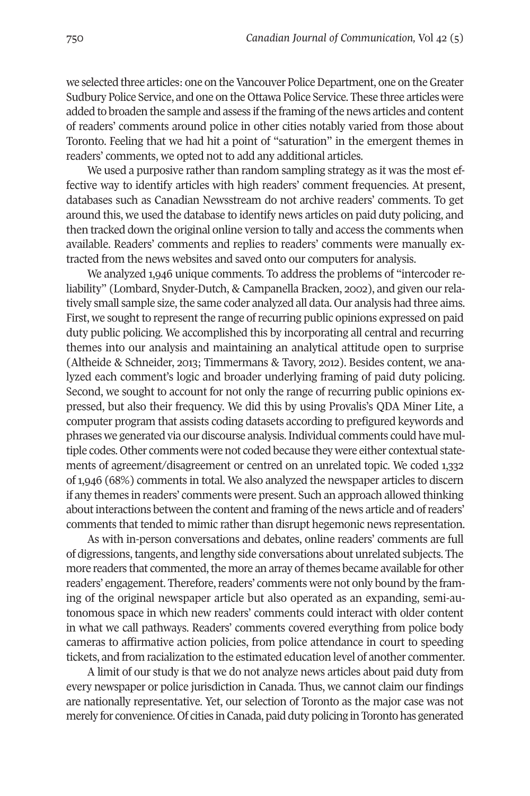we selected three articles: one on the Vancouver Police Department, one on the Greater Sudbury Police Service, and one on the Ottawa Police Service. These three articles were added to broaden the sample and assess if the framing of the news articles and content of readers' comments around police in other cities notably varied from those about Toronto. Feeling that we had hit a point of "saturation" in the emergent themes in readers' comments, we opted not to add any additional articles.

We used a purposive rather than random sampling strategy as it was the most effective way to identify articles with high readers' comment frequencies. At present, databases such as Canadian Newsstream do not archive readers' comments. To get around this, we used the database to identify news articles on paid duty policing, and then tracked down the original online version to tally and access the comments when available. Readers' comments and replies to readers' comments were manually extracted from the news websites and saved onto our computers for analysis.

We analyzed 1,946 unique comments. To address the problems of "intercoder reliability" (Lombard, Snyder-Dutch, & Campanella Bracken, 2002), and given our relatively small sample size, the same coder analyzed all data. Our analysis had three aims. First, we sought to represent the range of recurring public opinions expressed on paid duty public policing. We accomplished this by incorporating all central and recurring themes into our analysis and maintaining an analytical attitude open to surprise (Altheide & Schneider, 2013; Timmermans & Tavory, 2012). Besides content, we analyzed each comment's logic and broader underlying framing of paid duty policing. Second, we sought to account for not only the range of recurring public opinions expressed, but also their frequency. We did this by using Provalis's QDA Miner Lite, a computer program that assists coding datasets according to prefigured keywords and phrases we generated via our discourse analysis.Individual comments could have multiple codes. Other comments were not coded because they were either contextual statements of agreement/disagreement or centred on an unrelated topic. We coded 1,332 of 1,946 (68%) comments in total. We also analyzed the newspaper articles to discern if any themes in readers' comments were present. Such an approach allowed thinking about interactions between the content and framing of the news article and of readers' comments that tended to mimic rather than disrupt hegemonic news representation.

As with in-person conversations and debates, online readers' comments are full of digressions,tangents, and lengthy side conversations about unrelated subjects. The more readers that commented, the more an array of themes became available for other readers' engagement. Therefore, readers' comments were not only bound by the framing of the original newspaper article but also operated as an expanding, semi-autonomous space in which new readers' comments could interact with older content in what we call pathways. Readers' comments covered everything from police body cameras to affirmative action policies, from police attendance in court to speeding tickets, and from racialization to the estimated education level of another commenter.

A limit of our study is that we do not analyze news articles about paid duty from every newspaper or police jurisdiction in Canada. Thus, we cannot claim our findings are nationally representative. Yet, our selection of Toronto as the major case was not merely for convenience. Of cities inCanada, paid duty policing in Toronto has generated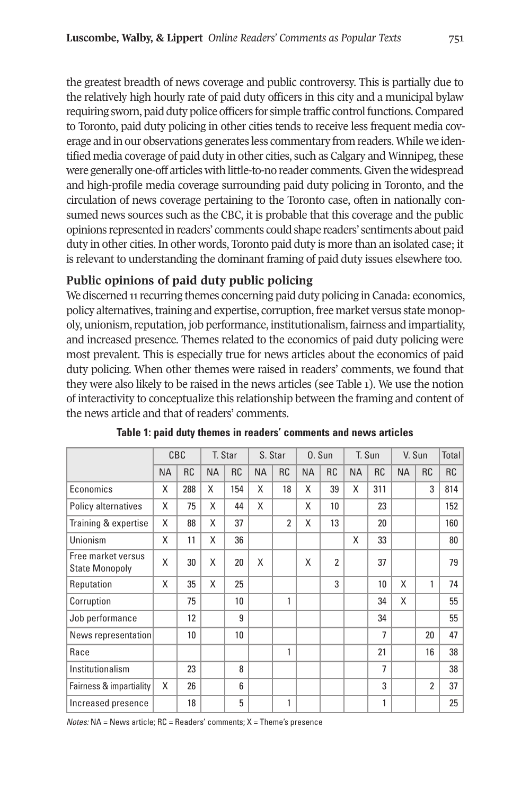the greatest breadth of news coverage and public controversy. This is partially due to the relatively high hourly rate of paid duty officers in this city and a municipal bylaw requiring sworn, paid duty police officers for simple traffic control functions. Compared to Toronto, paid duty policing in other cities tends to receive less frequent media coverage and in our observations generates less commentary from readers. While we identified media coverage of paid duty in other cities, such as Calgary and Winnipeg, these were generally one-off articles with little-to-no reader comments.Given the widespread and high-profile media coverage surrounding paid duty policing in Toronto, and the circulation of news coverage pertaining to the Toronto case, often in nationally consumed news sources such as the CBC, it is probable that this coverage and the public opinions represented in readers' comments could shape readers' sentiments about paid duty in other cities. In other words, Toronto paid duty is more than an isolated case; it is relevant to understanding the dominant framing of paid duty issues elsewhere too.

# **Public opinions of paid duty public policing**

We discerned 11 recurring themes concerning paid duty policing in Canada: economics, policy alternatives, training and expertise, corruption, free market versus state monopoly, unionism, reputation, job performance, institutionalism, fairness and impartiality, and increased presence. Themes related to the economics of paid duty policing were most prevalent. This is especially true for news articles about the economics of paid duty policing. When other themes were raised in readers' comments, we found that they were also likely to be raised in the news articles (see Table 1). We use the notion of interactivity to conceptualize this relationship between the framing and content of the news article and that of readers' comments.

|                                             | <b>CBC</b> |           | T. Star   |                 | S. Star   |                | 0. Sun    |                | T. Sun    |                | V. Sun    |                | <b>Total</b> |
|---------------------------------------------|------------|-----------|-----------|-----------------|-----------|----------------|-----------|----------------|-----------|----------------|-----------|----------------|--------------|
|                                             | <b>NA</b>  | <b>RC</b> | <b>NA</b> | <b>RC</b>       | <b>NA</b> | <b>RC</b>      | <b>NA</b> | <b>RC</b>      | <b>NA</b> | <b>RC</b>      | <b>NA</b> | <b>RC</b>      | <b>RC</b>    |
| Economics                                   | X          | 288       | X         | 154             | X         | 18             | X         | 39             | X         | 311            |           | 3              | 814          |
| Policy alternatives                         | X          | 75        | X         | 44              | X         |                | X         | 10             |           | 23             |           |                | 152          |
| Training & expertise                        | X          | 88        | X         | 37              |           | $\overline{2}$ | X         | 13             |           | 20             |           |                | 160          |
| Unionism                                    | X          | 11        | X         | 36              |           |                |           |                | X         | 33             |           |                | 80           |
| Free market versus<br><b>State Monopoly</b> | X          | 30        | X         | 20              | X         |                | X         | $\overline{2}$ |           | 37             |           |                | 79           |
| Reputation                                  | X          | 35        | X         | 25              |           |                |           | 3              |           | 10             | X         | 1              | 74           |
| Corruption                                  |            | 75        |           | 10              |           | 1              |           |                |           | 34             | X         |                | 55           |
| Job performance                             |            | 12        |           | 9               |           |                |           |                |           | 34             |           |                | 55           |
| News representation                         |            | 10        |           | 10 <sup>°</sup> |           |                |           |                |           | $\overline{7}$ |           | 20             | 47           |
| Race                                        |            |           |           |                 |           | 1              |           |                |           | 21             |           | 16             | 38           |
| Institutionalism                            |            | 23        |           | 8               |           |                |           |                |           | $\overline{1}$ |           |                | 38           |
| Fairness & impartiality                     | X          | 26        |           | 6               |           |                |           |                |           | 3              |           | $\mathfrak{p}$ | 37           |
| Increased presence                          |            | 18        |           | 5               |           | 1              |           |                |           | 1              |           |                | 25           |

**Table 1: paid duty themes in readers' comments and news articles**

*Notes:* NA = News article; RC = Readers' comments; X = Theme's presence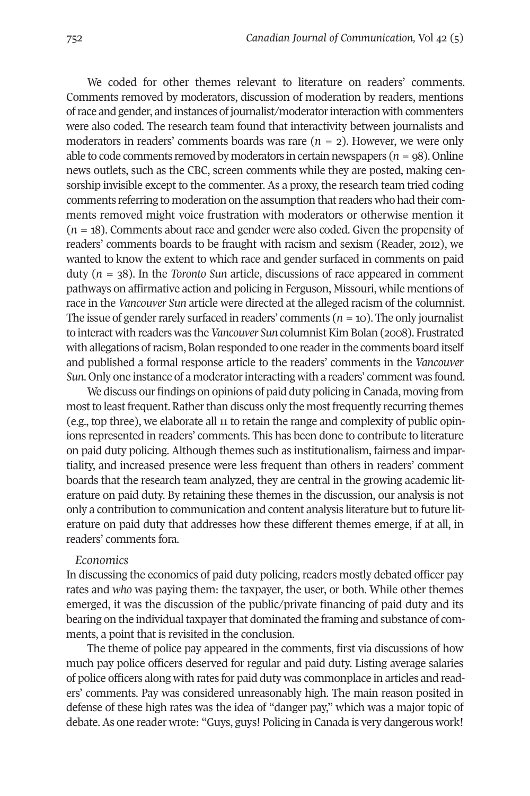We coded for other themes relevant to literature on readers' comments. Comments removed by moderators, discussion of moderation by readers, mentions ofrace and gender, and instances ofjournalist/moderatorinteraction with commenters were also coded. The research team found that interactivity between journalists and moderators in readers' comments boards was rare  $(n = 2)$ . However, we were only able to code comments removed by moderators in certain newspapers  $(n = 98)$ . Online news outlets, such as the CBC, screen comments while they are posted, making censorship invisible except to the commenter. As a proxy, the research team tried coding comments referring to moderation on the assumption that readers who had their comments removed might voice frustration with moderators or otherwise mention it (*n* = 18). Comments about race and gender were also coded. Given the propensity of readers' comments boards to be fraught with racism and sexism (Reader, 2012), we wanted to know the extent to which race and gender surfaced in comments on paid duty (*n* = 38). In the *Toronto Sun* article, discussions of race appeared in comment pathways on affirmative action and policing in Ferguson, Missouri, while mentions of race in the *Vancouver Sun* article were directed at the alleged racism of the columnist. The issue of gender rarely surfaced in readers' comments ( $n = 10$ ). The only journalist to interact with readers was the*Vancouver Sun* columnistKim Bolan (2008). Frustrated with allegations ofracism, Bolan responded to one readerin the comments board itself and published a formal response article to the readers' comments in the *Vancouver Sun*. Only one instance of a moderator interacting with a readers' comment was found.

We discuss our findings on opinions of paid duty policing in Canada, moving from most to least frequent. Rather than discuss only the most frequently recurring themes (e.g., top three), we elaborate all 11 to retain the range and complexity of public opinions represented in readers' comments. This has been done to contribute to literature on paid duty policing. Although themes such as institutionalism, fairness and impartiality, and increased presence were less frequent than others in readers' comment boards that the research team analyzed, they are central in the growing academic literature on paid duty. By retaining these themes in the discussion, our analysis is not only a contribution to communication and content analysis literature but to future literature on paid duty that addresses how these different themes emerge, if at all, in readers' comments fora.

#### *Economics*

In discussing the economics of paid duty policing, readers mostly debated officer pay rates and *who* was paying them: the taxpayer, the user, or both. While other themes emerged, it was the discussion of the public/private financing of paid duty and its bearing on the individual taxpayer that dominated the framing and substance of comments, a point that is revisited in the conclusion.

The theme of police pay appeared in the comments, first via discussions of how much pay police officers deserved for regular and paid duty. Listing average salaries of police officers along with rates for paid duty was commonplace in articles and readers' comments. Pay was considered unreasonably high. The main reason posited in defense of these high rates was the idea of "danger pay," which was a major topic of debate. As one reader wrote: "Guys, guys! Policing in Canada is very dangerous work!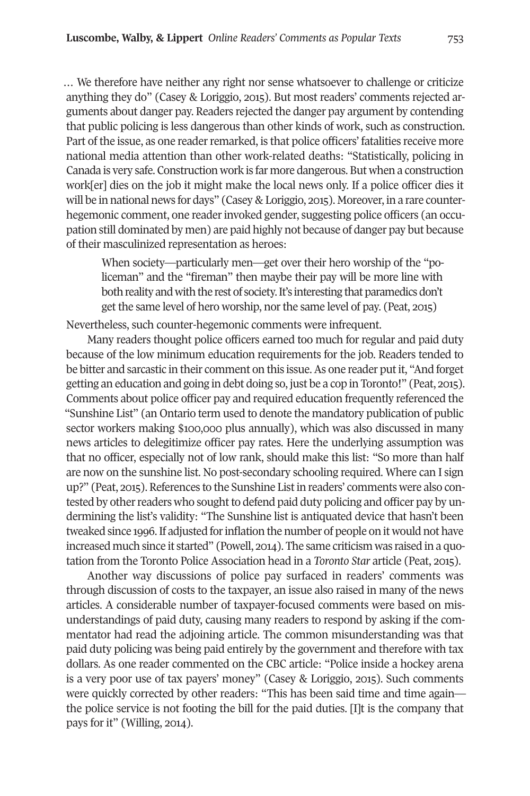… We therefore have neither any right nor sense whatsoever to challenge or criticize anything they do" (Casey & Loriggio, 2015). But most readers' comments rejected arguments about danger pay. Readers rejected the danger pay argument by contending that public policing is less dangerous than other kinds of work, such as construction. Part of the issue, as one reader remarked, is that police officers' fatalities receive more national media attention than other work-related deaths: "Statistically, policing in Canada is very safe. Construction work is far more dangerous. But when a construction work[er] dies on the job it might make the local news only. If a police officer dies it will be in national news for days" (Casey & Loriggio, 2015). Moreover, in a rare counterhegemonic comment, one readerinvoked gender, suggesting police officers (an occupation still dominated by men) are paid highly not because of danger pay but because of their masculinized representation as heroes:

When society—particularly men—get over their hero worship of the "policeman" and the "fireman" then maybe their pay will be more line with both reality and with the rest of society. It's interesting that paramedics don't get the same level of hero worship, nor the same level of pay. (Peat, 2015)

Nevertheless, such counter-hegemonic comments were infrequent.

Many readers thought police officers earned too much for regular and paid duty because of the low minimum education requirements for the job. Readers tended to be bitter and sarcastic in their comment on this issue. As one reader put it, "And forget getting an education and going in debt doing so, just be a cop in Toronto!" (Peat, 2015). Comments about police officer pay and required education frequently referenced the "Sunshine List" (an Ontario term used to denote the mandatory publication of public sector workers making \$100,000 plus annually), which was also discussed in many news articles to delegitimize officer pay rates. Here the underlying assumption was that no officer, especially not of low rank, should make this list: "So more than half are now on the sunshine list. No post-secondary schooling required. Where can I sign up?" (Peat, 2015). References to the Sunshine Listin readers' comments were also contested by other readers who sought to defend paid duty policing and officer pay by undermining the list's validity: "The Sunshine list is antiquated device that hasn't been tweaked since 1996.If adjusted forinflation the number of people on it would not have increased much since it started" (Powell, 2014). The same criticism was raised in a quotation from the Toronto Police Association head in a *Toronto Star* article (Peat, 2015).

Another way discussions of police pay surfaced in readers' comments was through discussion of costs to the taxpayer, an issue also raised in many of the news articles. A considerable number of taxpayer-focused comments were based on misunderstandings of paid duty, causing many readers to respond by asking if the commentator had read the adjoining article. The common misunderstanding was that paid duty policing was being paid entirely by the government and therefore with tax dollars. As one reader commented on the CBC article: "Police inside a hockey arena is a very poor use of tax payers' money" (Casey & Loriggio, 2015). Such comments were quickly corrected by other readers: "This has been said time and time again the police service is not footing the bill for the paid duties. [I]t is the company that pays for it" (Willing, 2014).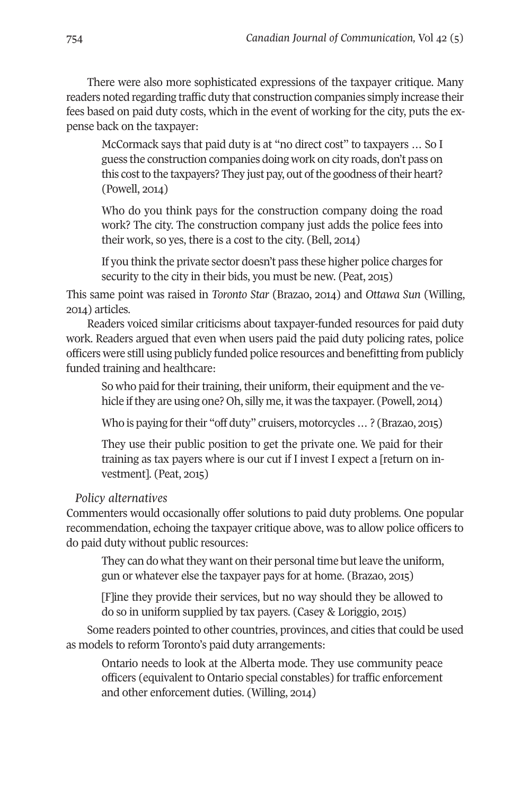There were also more sophisticated expressions of the taxpayer critique. Many readers noted regarding traffic duty that construction companies simply increase their fees based on paid duty costs, which in the event of working for the city, puts the expense back on the taxpayer:

McCormack says that paid duty is at "no direct cost" to taxpayers … So I guess the construction companies doing work on city roads, don't pass on this cost to the taxpayers? They just pay, out of the goodness of their heart? (Powell, 2014)

Who do you think pays for the construction company doing the road work? The city. The construction company just adds the police fees into their work, so yes, there is a cost to the city. (Bell, 2014)

If you think the private sector doesn't pass these higher police charges for security to the city in their bids, you must be new. (Peat, 2015)

This same point was raised in *Toronto Star* (Brazao, 2014) and *Ottawa Sun* (Willing, 2014) articles.

Readers voiced similar criticisms about taxpayer-funded resources for paid duty work. Readers argued that even when users paid the paid duty policing rates, police officers were still using publicly funded police resources and benefitting from publicly funded training and healthcare:

So who paid for their training, their uniform, their equipment and the vehicle if they are using one? Oh, silly me, it was the taxpayer. (Powell, 2014)

Who is paying for their "off duty" cruisers, motorcycles ...? (Brazao, 2015)

They use their public position to get the private one. We paid for their training as tax payers where is our cut if I invest I expect a [return on investment]. (Peat, 2015)

# *Policy alternatives*

Commenters would occasionally offer solutions to paid duty problems. One popular recommendation, echoing the taxpayer critique above, was to allow police officers to do paid duty without public resources:

They can do what they want on their personal time but leave the uniform, gun or whatever else the taxpayer pays for at home. (Brazao, 2015)

[F]ine they provide their services, but no way should they be allowed to do so in uniform supplied by tax payers. (Casey & Loriggio, 2015)

Some readers pointed to other countries, provinces, and cities that could be used as models to reform Toronto's paid duty arrangements:

Ontario needs to look at the Alberta mode. They use community peace officers (equivalent to Ontario special constables) for traffic enforcement and other enforcement duties. (Willing, 2014)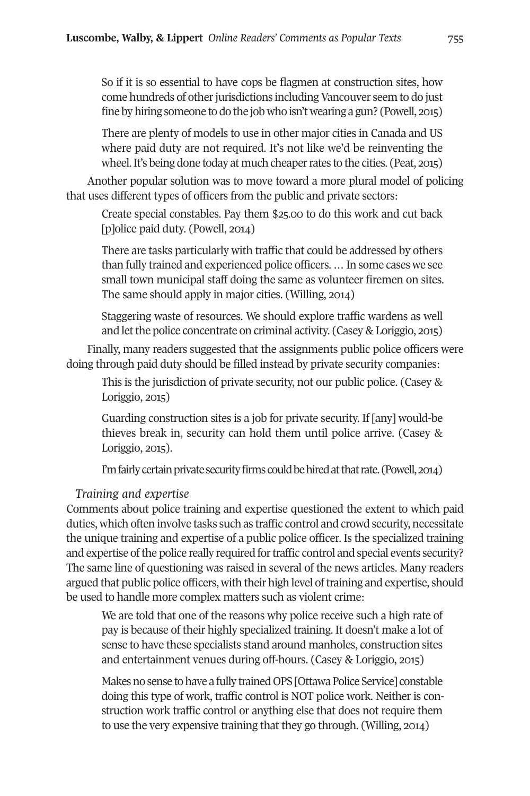So if it is so essential to have cops be flagmen at construction sites, how come hundreds of other jurisdictions including Vancouver seem to do just fine by hiring someone to do the job who isn't wearing a gun? (Powell, 2015)

There are plenty of models to use in other major cities in Canada and US where paid duty are not required. It's not like we'd be reinventing the wheel. It's being done today at much cheaper rates to the cities. (Peat, 2015)

Another popular solution was to move toward a more plural model of policing that uses different types of officers from the public and private sectors:

Create special constables. Pay them \$25.00 to do this work and cut back [p]olice paid duty. (Powell, 2014)

There are tasks particularly with traffic that could be addressed by others than fully trained and experienced police officers. … In some cases we see small town municipal staff doing the same as volunteer firemen on sites. The same should apply in major cities. (Willing, 2014)

Staggering waste of resources. We should explore traffic wardens as well and let the police concentrate on criminal activity. (Casey & Loriggio, 2015)

Finally, many readers suggested that the assignments public police officers were doing through paid duty should be filled instead by private security companies:

This is the jurisdiction of private security, not our public police. (Casey & Loriggio, 2015)

Guarding construction sites is a job for private security. If [any] would-be thieves break in, security can hold them until police arrive. (Casey & Loriggio, 2015).

I'm fairly certain private security firms could be hired at that rate. (Powell, 2014)

## *Training and expertise*

Comments about police training and expertise questioned the extent to which paid duties, which often involve tasks such as traffic control and crowd security, necessitate the unique training and expertise of a public police officer. Is the specialized training and expertise ofthe police really required fortraffic control and special events security? The same line of questioning was raised in several of the news articles. Many readers argued that public police officers, with their high level of training and expertise, should be used to handle more complex matters such as violent crime:

We are told that one of the reasons why police receive such a high rate of pay is because of their highly specialized training. It doesn't make a lot of sense to have these specialists stand around manholes, construction sites and entertainment venues during off-hours. (Casey & Loriggio, 2015)

Makes no sense to have a fully trained OPS [Ottawa Police Service] constable doing this type of work, traffic control is NOT police work. Neither is construction work traffic control or anything else that does not require them to use the very expensive training that they go through. (Willing, 2014)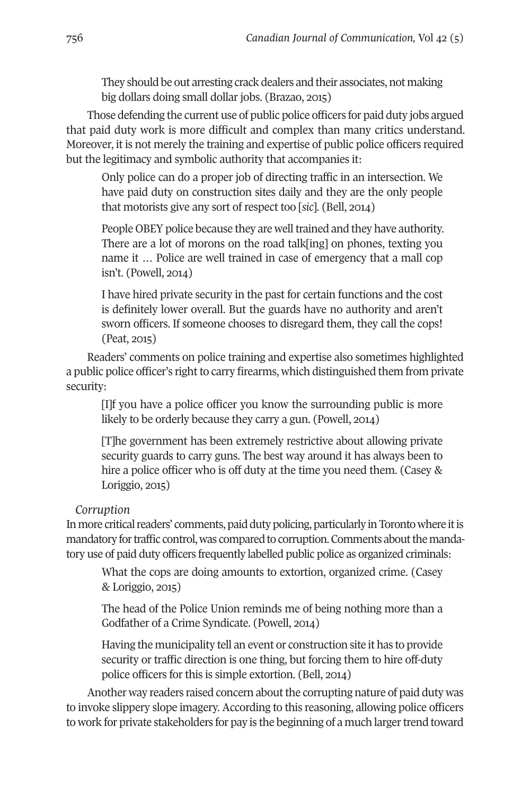They should be out arresting crack dealers and their associates, not making big dollars doing small dollar jobs. (Brazao, 2015)

Those defending the current use of public police officers for paid duty jobs argued that paid duty work is more difficult and complex than many critics understand. Moreover, it is not merely the training and expertise of public police officers required but the legitimacy and symbolic authority that accompanies it:

Only police can do a proper job of directing traffic in an intersection. We have paid duty on construction sites daily and they are the only people that motorists give any sort of respect too [*sic*]. (Bell, 2014)

People OBEY police because they are well trained and they have authority. There are a lot of morons on the road talk[ing] on phones, texting you name it … Police are well trained in case of emergency that a mall cop isn't. (Powell, 2014)

I have hired private security in the past for certain functions and the cost is definitely lower overall. But the guards have no authority and aren't sworn officers. If someone chooses to disregard them, they call the cops! (Peat, 2015)

Readers' comments on police training and expertise also sometimes highlighted a public police officer's right to carry firearms, which distinguished them from private security:

[I]f you have a police officer you know the surrounding public is more likely to be orderly because they carry a gun. (Powell, 2014)

[T]he government has been extremely restrictive about allowing private security guards to carry guns. The best way around it has always been to hire a police officer who is off duty at the time you need them. (Casey & Loriggio, 2015)

## *Corruption*

In more critical readers' comments, paid duty policing, particularly in Toronto where it is mandatory for traffic control, was compared to corruption. Comments about the mandatory use of paid duty officers frequently labelled public police as organized criminals:

What the cops are doing amounts to extortion, organized crime. (Casey & Loriggio, 2015)

The head of the Police Union reminds me of being nothing more than a Godfather of a Crime Syndicate. (Powell, 2014)

Having the municipality tell an event or construction site it has to provide security or traffic direction is one thing, but forcing them to hire off-duty police officers for this is simple extortion. (Bell, 2014)

Another way readers raised concern about the corrupting nature of paid duty was to invoke slippery slope imagery. According to this reasoning, allowing police officers to work for private stakeholders for pay is the beginning of a much larger trend toward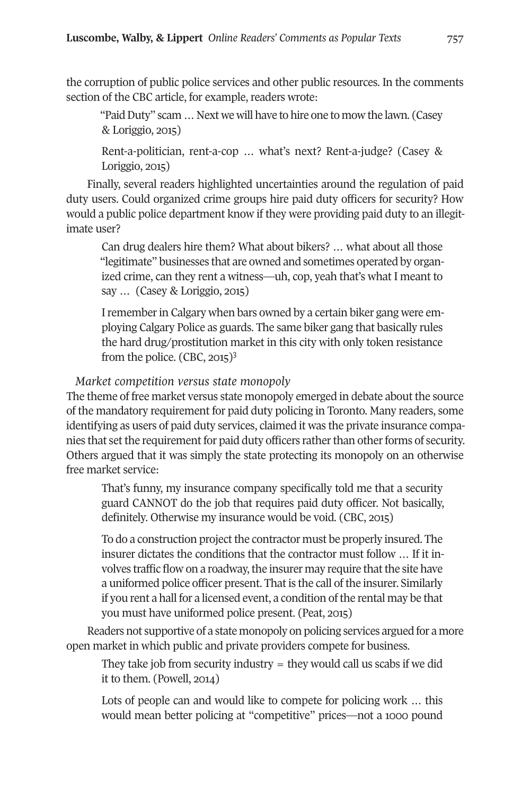the corruption of public police services and other public resources. In the comments section of the CBC article, for example, readers wrote:

"Paid Duty" scam ... Next we will have to hire one to mow the lawn. (Casey & Loriggio, 2015)

Rent-a-politician, rent-a-cop … what's next? Rent-a-judge? (Casey & Loriggio, 2015)

Finally, several readers highlighted uncertainties around the regulation of paid duty users. Could organized crime groups hire paid duty officers for security? How would a public police department know if they were providing paid duty to an illegitimate user?

Can drug dealers hire them? What about bikers? … what about all those "legitimate" businesses that are owned and sometimes operated by organized crime, can they rent a witness—uh, cop, yeah that's what I meant to say … (Casey & Loriggio, 2015)

I remember in Calgary when bars owned by a certain biker gang were employing Calgary Police as guards. The same biker gang that basically rules the hard drug/prostitution [m](#page-18-1)arket in this city with only token resistance from the police. (CBC, 2015)3

*Market competition versus state monopoly*

The theme of free market versus state monopoly emerged in debate about the source of the mandatory requirement for paid duty policing in Toronto. Many readers, some identifying as users of paid duty services, claimed it was the private insurance companies that set the requirement for paid duty officers rather than other forms of security. Others argued that it was simply the state protecting its monopoly on an otherwise free market service:

That's funny, my insurance company specifically told me that a security guard CANNOT do the job that requires paid duty officer. Not basically, definitely. Otherwise my insurance would be void. (CBC, 2015)

To do a construction project the contractor must be properly insured. The insurer dictates the conditions that the contractor must follow … If it involves traffic flow on a roadway, the insurer may require that the site have a uniformed police officer present. That is the call of the insurer. Similarly if you rent a hall for a licensed event, a condition of the rental may be that you must have uniformed police present. (Peat, 2015)

Readers not supportive of a state monopoly on policing services argued for a more open market in which public and private providers compete for business.

They take job from security industry  $=$  they would call us scabs if we did it to them. (Powell, 2014)

Lots of people can and would like to compete for policing work … this would mean better policing at "competitive" prices—not a 1000 pound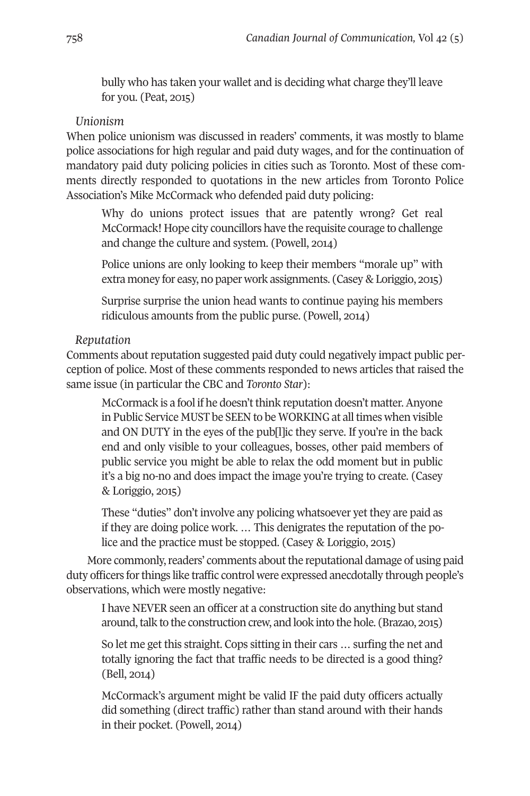bully who has taken your wallet and is deciding what charge they'll leave for you. (Peat, 2015)

#### *Unionism*

When police unionism was discussed in readers' comments, it was mostly to blame police associations for high regular and paid duty wages, and for the continuation of mandatory paid duty policing policies in cities such as Toronto. Most of these comments directly responded to quotations in the new articles from Toronto Police Association's Mike McCormack who defended paid duty policing:

Why do unions protect issues that are patently wrong? Get real McCormack! Hope city councillors have the requisite courage to challenge and change the culture and system. (Powell, 2014)

Police unions are only looking to keep their members "morale up" with extra money for easy, no paper work assignments. (Casey & Loriggio, 2015)

Surprise surprise the union head wants to continue paying his members ridiculous amounts from the public purse. (Powell, 2014)

#### *Reputation*

Comments about reputation suggested paid duty could negatively impact public perception of police. Most of these comments responded to news articles that raised the same issue (in particular the CBC and *Toronto Star*):

McCormack is a fool if he doesn't think reputation doesn't matter. Anyone in Public Service MUST be SEEN to be WORKING at all times when visible and ON DUTY in the eyes of the pub[l]ic they serve. If you're in the back end and only visible to your colleagues, bosses, other paid members of public service you might be able to relax the odd moment but in public it's a big no-no and does impact the image you're trying to create. (Casey & Loriggio, 2015)

These "duties" don't involve any policing whatsoever yet they are paid as if they are doing police work. … This denigrates the reputation of the police and the practice must be stopped. (Casey & Loriggio, 2015)

More commonly, readers' comments about the reputational damage of using paid duty officers for things like traffic control were expressed anecdotally through people's observations, which were mostly negative:

I have NEVER seen an officer at a construction site do anything but stand around, talk to the construction crew, and look into the hole. (Brazao, 2015)

So let me get this straight. Cops sitting in their cars … surfing the net and totally ignoring the fact that traffic needs to be directed is a good thing? (Bell, 2014)

McCormack's argument might be valid IF the paid duty officers actually did something (direct traffic) rather than stand around with their hands in their pocket. (Powell, 2014)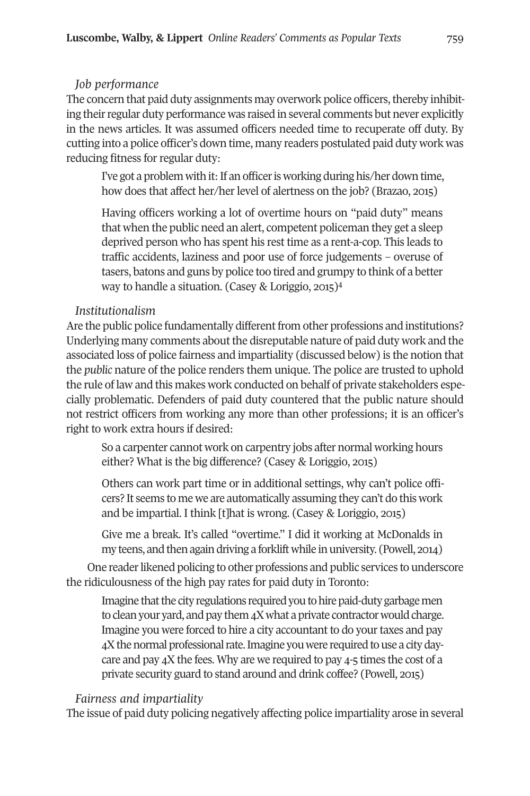#### *Job performance*

The concern that paid duty assignments may overwork police officers, thereby inhibiting their regular duty performance was raised in several comments but never explicitly in the news articles. It was assumed officers needed time to recuperate off duty. By cutting into a police officer's down time, many readers postulated paid duty work was reducing fitness for regular duty:

I've got a problem with it: If an officer is working during his/her down time, how does that affect her/her level of alertness on the job? (Brazao, 2015)

Having officers working a lot of overtime hours on "paid duty" means that when the public need an alert, competent policeman they get a sleep deprived person who has spent his rest time as a rent-a-cop. This leads to traffic accidents, laziness and poor use of force judgements – overuse of tasers, batons and guns by police too tired and grumpy to think of a better way to handle a situation. (Casey & Loriggio, 2015[\)4](#page-18-2)

#### *Institutionalism*

Are the public police fundamentally different from other professions and institutions? Underlying many comments about the disreputable nature of paid duty work and the associated loss of police fairness and impartiality (discussed below) is the notion that the *public* nature of the police renders them unique. The police are trusted to uphold the rule of law and this makes work conducted on behalf of private stakeholders especially problematic. Defenders of paid duty countered that the public nature should not restrict officers from working any more than other professions; it is an officer's right to work extra hours if desired:

So a carpenter cannot work on carpentry jobs after normal working hours either? What is the big difference? (Casey & Loriggio, 2015)

Others can work part time or in additional settings, why can't police officers? It seems to me we are automatically assuming they can't do this work and be impartial. I think [t]hat is wrong. (Casey & Loriggio, 2015)

Give me a break. It's called "overtime." I did it working at McDonalds in my teens, and then again driving a forklift while in university. (Powell, 2014)

One reader likened policing to other professions and public services to underscore the ridiculousness of the high pay rates for paid duty in Toronto:

Imagine that the city regulations required you to hire paid-duty garbage men to clean your yard, and pay them  $4X$  what a private contractor would charge. Imagine you were forced to hire a city accountant to do your taxes and pay 4X the normal professional rate. Imagine you were required to use a city daycare and pay  $4X$  the fees. Why are we required to pay  $4-5$  times the cost of a private security guard to stand around and drink coffee? (Powell, 2015)

*Fairness and impartiality*

The issue of paid duty policing negatively affecting police impartiality arose in several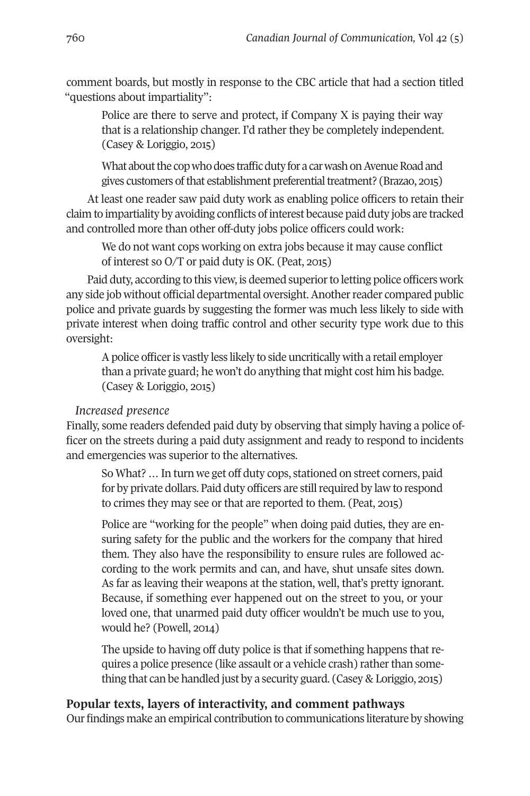comment boards, but mostly in response to the CBC article that had a section titled "questions about impartiality":

Police are there to serve and protect, if Company X is paying their way that is a relationship changer. I'd rather they be completely independent. (Casey & Loriggio, 2015)

What about the cop who does traffic duty for a car wash on Avenue Road and gives customers of that establishment preferential treatment? (Brazao, 2015)

At least one reader saw paid duty work as enabling police officers to retain their claim to impartiality by avoiding conflicts of interest because paid duty jobs are tracked and controlled more than other off-duty jobs police officers could work:

We do not want cops working on extra jobs because it may cause conflict of interest so O/T or paid duty is OK. (Peat, 2015)

Paid duty, according to this view, is deemed superior to letting police officers work any side job without official departmental oversight. Another reader compared public police and private guards by suggesting the former was much less likely to side with private interest when doing traffic control and other security type work due to this oversight:

A police officer is vastly less likely to side uncritically with a retail employer than a private guard; he won't do anything that might cost him his badge. (Casey & Loriggio, 2015)

# *Increased presence*

Finally, some readers defended paid duty by observing that simply having a police officer on the streets during a paid duty assignment and ready to respond to incidents and emergencies was superior to the alternatives.

So What? … In turn we get off duty cops, stationed on street corners, paid for by private dollars. Paid duty officers are still required by law to respond to crimes they may see or that are reported to them. (Peat, 2015)

Police are "working for the people" when doing paid duties, they are ensuring safety for the public and the workers for the company that hired them. They also have the responsibility to ensure rules are followed according to the work permits and can, and have, shut unsafe sites down. As far as leaving their weapons at the station, well, that's pretty ignorant. Because, if something ever happened out on the street to you, or your loved one, that unarmed paid duty officer wouldn't be much use to you, would he? (Powell, 2014)

The upside to having off duty police is that if something happens that requires a police presence (like assault or a vehicle crash) rather than something that can be handled just by a security guard. (Casey & Loriggio, 2015)

# **Popular texts, layers of interactivity, and comment pathways**

Our findings make an empirical contribution to communications literature by showing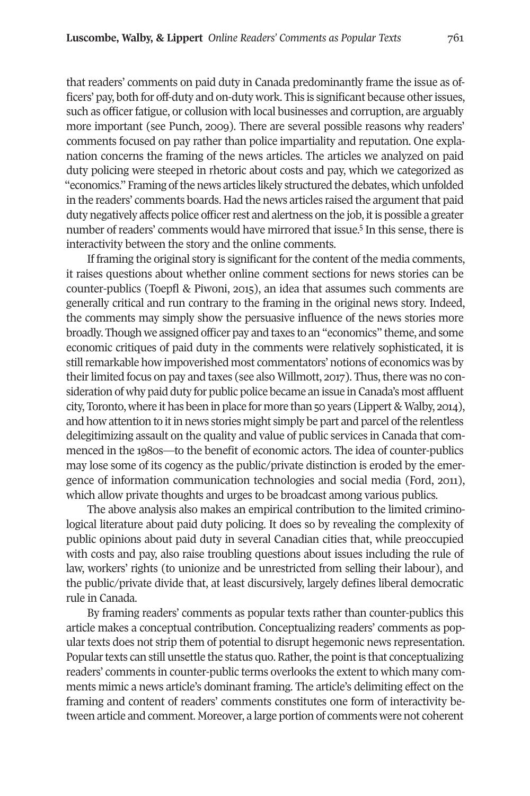that readers' comments on paid duty in Canada predominantly frame the issue as officers' pay, both for off-duty and on-duty work. This is significant because otherissues, such as officer fatigue, or collusion with local businesses and corruption, are arguably more important (see Punch, 2009). There are several possible reasons why readers' comments focused on pay rather than police impartiality and reputation. One explanation concerns the framing of the news articles. The articles we analyzed on paid duty policing were steeped in rhetoric about costs and pay, which we categorized as "economics." Framing ofthe news articles likely structured the debates, which unfolded in the readers' comments boards. Had the news articles raised the argumentthat paid duty negatively affects police officer rest and alertness on the jo[b,](#page-18-3) it is possible a greater number of readers' comments would have mirrored that issue. <sup>5</sup> In this sense, there is interactivity between the story and the online comments.

If framing the original story is significant for the content of the media comments, it raises questions about whether online comment sections for news stories can be counter-publics (Toepfl & Piwoni, 2015), an idea that assumes such comments are generally critical and run contrary to the framing in the original news story. Indeed, the comments may simply show the persuasive influence of the news stories more broadly. Though we assigned officer pay and taxes to an "economics" theme, and some economic critiques of paid duty in the comments were relatively sophisticated, it is stillremarkable how impoverished most commentators' notions of economics was by their limited focus on pay and taxes (see also Willmott, 2017). Thus, there was no consideration of why paid duty for public police became an issue in Canada's most affluent city, Toronto, where it has been in place for more than 50 years (Lippert & Walby, 2014), and how attention to it in news stories might simply be part and parcel of the relentless delegitimizing assault on the quality and value of public services in Canada that commenced in the 1980s—to the benefit of economic actors. The idea of counter-publics may lose some of its cogency as the public/private distinction is eroded by the emergence of information communication technologies and social media (Ford, 2011), which allow private thoughts and urges to be broadcast among various publics.

The above analysis also makes an empirical contribution to the limited criminological literature about paid duty policing. It does so by revealing the complexity of public opinions about paid duty in several Canadian cities that, while preoccupied with costs and pay, also raise troubling questions about issues including the rule of law, workers' rights (to unionize and be unrestricted from selling their labour), and the public/private divide that, at least discursively, largely defines liberal democratic rule in Canada.

By framing readers' comments as popular texts rather than counter-publics this article makes a conceptual contribution. Conceptualizing readers' comments as popular texts does not strip them of potential to disrupt hegemonic news representation. Popular texts can still unsettle the status quo. Rather, the point is that conceptualizing readers' comments in counter-public terms overlooks the extent to which many comments mimic a news article's dominant framing. The article's delimiting effect on the framing and content of readers' comments constitutes one form of interactivity between article and comment. Moreover, a large portion of comments were not coherent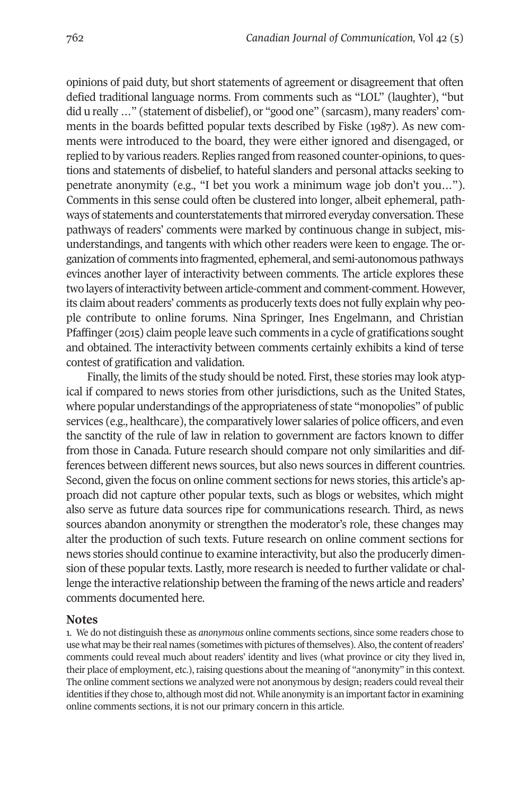opinions of paid duty, but short statements of agreement or disagreement that often defied traditional language norms. From comments such as "LOL" (laughter), "but did u really …" (statement of disbelief), or "good one" (sarcasm), many readers' comments in the boards befitted popular texts described by Fiske (1987). As new comments were introduced to the board, they were either ignored and disengaged, or replied to by various readers. Replies ranged from reasoned counter-opinions,to questions and statements of disbelief, to hateful slanders and personal attacks seeking to penetrate anonymity (e.g., "I bet you work a minimum wage job don't you…"). Comments in this sense could often be clustered into longer, albeit ephemeral, pathways of statements and counterstatements that mirrored everyday conversation. These pathways of readers' comments were marked by continuous change in subject, misunderstandings, and tangents with which other readers were keen to engage. The organization of comments into fragmented, ephemeral, and semi-autonomous pathways evinces another layer of interactivity between comments. The article explores these two layers of interactivity between article-comment and comment-comment. However, its claim about readers' comments as producerly texts does not fully explain why people contribute to online forums. Nina Springer, Ines Engelmann, and Christian Pfaffinger (2015) claim people leave such comments in a cycle of gratifications sought and obtained. The interactivity between comments certainly exhibits a kind of terse contest of gratification and validation.

Finally, the limits of the study should be noted. First, these stories may look atypical if compared to news stories from other jurisdictions, such as the United States, where popular understandings of the appropriateness of state "monopolies" of public services (e.g., healthcare), the comparatively lower salaries of police officers, and even the sanctity of the rule of law in relation to government are factors known to differ from those in Canada. Future research should compare not only similarities and differences between different news sources, but also news sources in different countries. Second, given the focus on online comment sections for news stories, this article's approach did not capture other popular texts, such as blogs or websites, which might also serve as future data sources ripe for communications research. Third, as news sources abandon anonymity or strengthen the moderator's role, these changes may alter the production of such texts. Future research on online comment sections for news stories should continue to examine interactivity, but also the producerly dimension of these popular texts. Lastly, more research is needed to further validate or challenge the interactive relationship between the framing of the news article and readers' comments documented here.

#### **Notes**

<span id="page-17-0"></span>1. We do not distinguish these as *anonymous* online comments sections, since some readers chose to use what may be their real names (sometimes with pictures of themselves). Also, the content of readers' comments could reveal much about readers' identity and lives (what province or city they lived in, their place of employment, etc.), raising questions about the meaning of "anonymity" in this context. The online comment sections we analyzed were not anonymous by design; readers could reveal their identities if they chose to, although most did not. While anonymity is an important factor in examining online comments sections, it is not our primary concern in this article.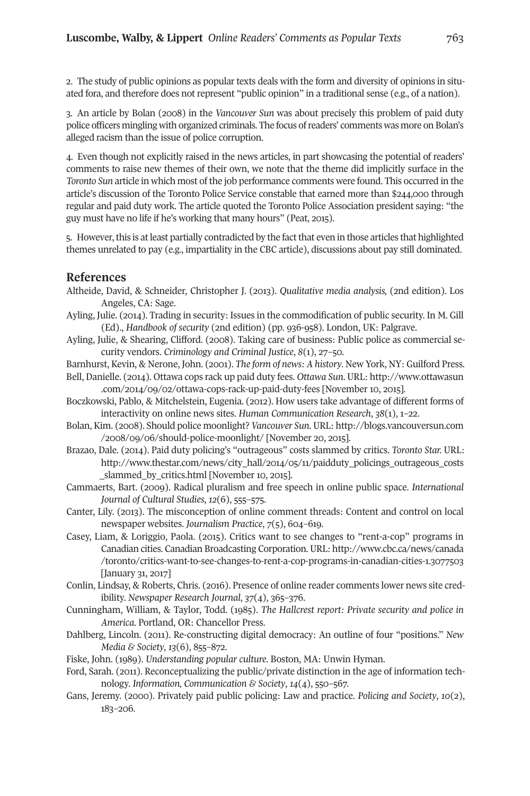2. The study of public opinions as popular texts deals with the form and diversity of opinions in situated fora, and therefore does not represent "public opinion" in a traditional sense (e.g., of a nation).

<span id="page-18-2"></span><span id="page-18-1"></span><span id="page-18-0"></span>3. An article by Bolan (2008) in the *Vancouver Sun* was about precisely this problem of paid duty police officers mingling with organized criminals. The focus ofreaders' comments was more on Bolan's alleged racism than the issue of police corruption.

4. Even though not explicitly raised in the news articles, in part showcasing the potential of readers' comments to raise new themes of their own, we note that the theme did implicitly surface in the *Toronto Sun* article in which most of the job performance comments were found. This occurred in the article's discussion of the Toronto Police Service constable that earned more than \$244,000 through regular and paid duty work. The article quoted the Toronto Police Association president saying: "the guy must have no life if he's working that many hours" (Peat, 2015).

<span id="page-18-3"></span>5. However, this is at least partially contradicted by the fact that even in those articles that highlighted themes unrelated to pay (e.g., impartiality in the CBC article), discussions about pay still dominated.

#### **References**

- Altheide, David, & Schneider, Christopher J. (2013). *Qualitative media analysis,* (2nd edition). Los Angeles, CA: Sage.
- Ayling, Julie. (2014). Trading in security: Issues in the commodification of public security. In M. Gill (Ed)., *Handbook of security* (2nd edition) (pp. 936-958). London, UK: Palgrave.
- Ayling, Julie, & Shearing, Clifford. (2008). Taking care of business: Public police as commercial security vendors. *Criminology and Criminal Justice*, *8*(1), 27–50.
- Barnhurst, Kevin, & Nerone, John. (2001). *The form of news: A history*. New York, NY: Guilford Press.
- Bell, Danielle. (2014). Ottawa cops rack up paid duty fees. *Ottawa Sun*. URL: [http://www.ottawasun](http://www.ottawasun.com/2014/09/02/ottawa-cops-rack-up-paid-duty-fees) [.com/2014/09/02/ottawa-cops-rack-up-paid-duty-fees](http://www.ottawasun.com/2014/09/02/ottawa-cops-rack-up-paid-duty-fees) [November 10, 2015].
- Boczkowski, Pablo, & Mitchelstein, Eugenia. (2012). How users take advantage of different forms of interactivity on online news sites. *Human Communication Research*, *38*(1), 1–22.
- Bolan, Kim. (2008). Should police moonlight? *Vancouver Sun*. URL: [http://blogs.vancouversun.com](http://blogs.vancouversun.com/2008/09/06/should-police-moonlight/) [/2008/09/06/should-police-moonlight/](http://blogs.vancouversun.com/2008/09/06/should-police-moonlight/) [November 20, 2015].
- Brazao, Dale. (2014). Paid duty policing's "outrageous" costs slammed by critics. *Toronto Star.* URL: [http://www.thestar.com/news/city\\_hall/2014/05/11/paidduty\\_policings\\_outrageous\\_costs](http://www.thestar.com/news/city_hall/2014/05/11/paidduty_policings_outrageous_costs_slammed_by_critics.html) [\\_slammed\\_by\\_critics.html](http://www.thestar.com/news/city_hall/2014/05/11/paidduty_policings_outrageous_costs_slammed_by_critics.html) [November 10, 2015].
- Cammaerts, Bart. (2009). Radical pluralism and free speech in online public space. *International Journal of Cultural Studies*, *12*(6), 555–575.
- Canter, Lily. (2013). The misconception of online comment threads: Content and control on local newspaper websites. *Journalism Practice*, *7*(5), 604–619.
- Casey, Liam, & Loriggio, Paola. (2015). Critics want to see changes to "rent-a-cop" programs in Canadian cities. Canadian Broadcasting Corporation. URL: [http://www.cbc.ca/news/canada](http://www.cbc.ca/news/canada/toronto/critics-want-to-see-changes-to-rent-a-cop-programs-in-canadian-cities-1.3077503) [/toronto/critics-want-to-see-changes-to-rent-a-cop-programs-in-canadian-cities-1.3077503](http://www.cbc.ca/news/canada/toronto/critics-want-to-see-changes-to-rent-a-cop-programs-in-canadian-cities-1.3077503) [January 31, 2017]
- Conlin, Lindsay, & Roberts, Chris. (2016). Presence of online reader comments lower news site credibility. *Newspaper Research Journal*, *37*(4), 365–376.
- Cunningham, William, & Taylor, Todd. (1985). *The Hallcrest report: Private security and police in America*. Portland, OR: Chancellor Press.
- Dahlberg, Lincoln. (2011). Re-constructing digital democracy: An outline of four "positions." *New Media & Society*, *13*(6), 855–872.
- Fiske, John. (1989). *Understanding popular culture*. Boston, MA: Unwin Hyman.
- Ford, Sarah. (2011). Reconceptualizing the public/private distinction in the age of information technology. *Information, Communication & Society*, *14*(4), 550–567.
- Gans, Jeremy. (2000). Privately paid public policing: Law and practice. *Policing and Society*, *10*(2), 183–206.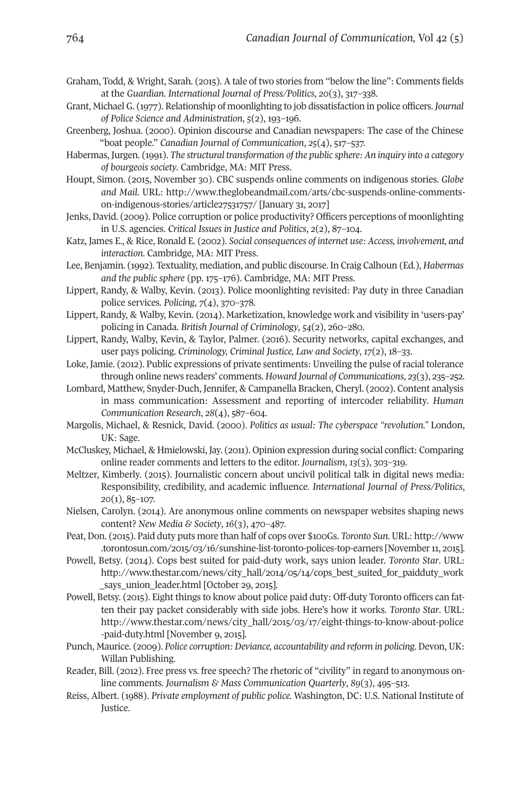- Graham, Todd, & Wright, Sarah. (2015). A tale of two stories from "below the line": Comments fields at the *Guardian*. *International Journal of Press/Politics*, *20*(3), 317–338.
- Grant, Michael G. (1977). Relationship of moonlighting to job dissatisfaction in police officers. *Journal of Police Science and Administration*, *5*(2), 193–196.
- Greenberg, Joshua. (2000). Opinion discourse and Canadian newspapers: The case of the Chinese "boat people." *Canadian Journal of Communication*, *25*(4), 517–537.
- Habermas, Jurgen. (1991). *The structural transformation of the public sphere: An inquiry into a category of bourgeois society*. Cambridge, MA: MIT Press.
- Houpt, Simon. (2015, November 30). CBC suspends online comments on indigenous stories. *Globe and Mail*. URL: [http://www.theglobeandmail.com/arts/cbc-suspends-online-comments](http://www.theglobeandmail.com/arts/cbc-suspends-online-comments-on-indigenous-stories/article27531757/)[on-indigenous-stories/article27531757/](http://www.theglobeandmail.com/arts/cbc-suspends-online-comments-on-indigenous-stories/article27531757/) [January 31, 2017]
- Jenks, David. (2009). Police corruption or police productivity? Officers perceptions of moonlighting in U.S. agencies. *Critical Issues in Justice and Politics*, *2*(2), 87–104.
- Katz, James E., & Rice, Ronald E. (2002). *Social consequences of internet use: Access, involvement, and interaction*. Cambridge, MA: MIT Press.
- Lee, Benjamin. (1992). Textuality, mediation, and public discourse. In Craig Calhoun (Ed.), *Habermas and the public sphere* (pp. 175–176). Cambridge, MA: MIT Press.
- Lippert, Randy, & Walby, Kevin. (2013). Police moonlighting revisited: Pay duty in three Canadian police services. *Policing*, *7*(4), 370–378.
- Lippert, Randy, & Walby, Kevin. (2014). Marketization, knowledge work and visibility in 'users-pay' policing in Canada. *British Journal of Criminology*, *54*(2), 260–280.
- Lippert, Randy, Walby, Kevin, & Taylor, Palmer. (2016). Security networks, capital exchanges, and user pays policing. *Criminology, Criminal Justice, Law and Society*, *17*(2), 18–33.
- Loke, Jamie. (2012). Public expressions of private sentiments: Unveiling the pulse ofracial tolerance through online news readers' comments. *Howard Journal of Communications*, *23*(3), 235–252.
- Lombard, Matthew, Snyder-Duch, Jennifer, & Campanella Bracken, Cheryl. (2002). Content analysis in mass communication: Assessment and reporting of intercoder reliability. *Human Communication Research*, *28*(4), 587–604.
- Margolis, Michael, & Resnick, David. (2000). *Politics as usual: The cyberspace "revolution."* London, UK: Sage.
- McCluskey, Michael, & Hmielowski, Jay. (2011). Opinion expression during social conflict: Comparing online reader comments and letters to the editor. *Journalism*, *13*(3), 303–319.
- Meltzer, Kimberly. (2015). Journalistic concern about uncivil political talk in digital news media: Responsibility, credibility, and academic influence. *International Journal of Press/Politics*, *20*(1), 85–107.
- Nielsen, Carolyn. (2014). Are anonymous online comments on newspaper websites shaping news content? *New Media & Society*, *16*(3), 470–487.
- Peat, Don. (2015). Paid duty puts more than half of cops over \$100Gs. *Toronto Sun*. URL: [http://www](http://www.torontosun.com/2015/03/16/sunshine-list-toronto-polices-top-earners) [.torontosun.com/2015/03/16/sunshine-list-toronto-polices-top-earners](http://www.torontosun.com/2015/03/16/sunshine-list-toronto-polices-top-earners) [November11, 2015].
- Powell, Betsy. (2014). Cops best suited for paid-duty work, says union leader. *Toronto Star*. URL: [http://www.thestar.com/news/city\\_hall/2014/05/14/cops\\_best\\_suited\\_for\\_paidduty\\_work](http://www.thestar.com/news/city_hall/2014/05/14/cops_best_suited_for_paidduty_work_says_union_leader.html) [\\_says\\_union\\_leader.html](http://www.thestar.com/news/city_hall/2014/05/14/cops_best_suited_for_paidduty_work_says_union_leader.html) [October 29, 2015].
- Powell, Betsy. (2015). Eight things to know about police paid duty: Off-duty Toronto officers can fatten their pay packet considerably with side jobs. Here's how it works. *Toronto Star*. URL: [http://www.thestar.com/news/city\\_hall/2015/03/17/eight-things-to-know-about-police](http://www.thestar.com/news/city_hall/2015/03/17/eight-things-to-know-about-police-paid-duty.html) [-paid-duty.html](http://www.thestar.com/news/city_hall/2015/03/17/eight-things-to-know-about-police-paid-duty.html) [November 9, 2015].
- Punch, Maurice. (2009). *Police corruption: Deviance, accountability and reform in policing*. Devon, UK: Willan Publishing.
- Reader, Bill. (2012). Free press vs. free speech? The rhetoric of "civility" in regard to anonymous online comments. *Journalism & Mass Communication Quarterly*, *89*(3), 495–513.
- Reiss, Albert. (1988). *Private employment of public police.* Washington, DC: U.S. National Institute of Justice.